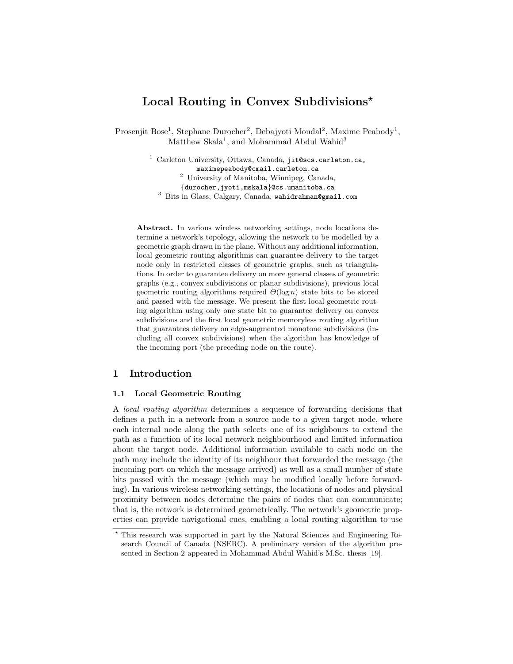# Local Routing in Convex Subdivisions<sup>\*</sup>

Prosenjit Bose<sup>1</sup>, Stephane Durocher<sup>2</sup>, Debajyoti Mondal<sup>2</sup>, Maxime Peabody<sup>1</sup>, Matthew Skala<sup>1</sup>, and Mohammad Abdul Wahid<sup>3</sup>

> <sup>1</sup> Carleton University, Ottawa, Canada, jit@scs.carleton.ca, maximepeabody@cmail.carleton.ca <sup>2</sup> University of Manitoba, Winnipeg, Canada, {durocher,jyoti,mskala}@cs.umanitoba.ca <sup>3</sup> Bits in Glass, Calgary, Canada, wahidrahman@gmail.com

Abstract. In various wireless networking settings, node locations determine a network's topology, allowing the network to be modelled by a geometric graph drawn in the plane. Without any additional information, local geometric routing algorithms can guarantee delivery to the target node only in restricted classes of geometric graphs, such as triangulations. In order to guarantee delivery on more general classes of geometric graphs (e.g., convex subdivisions or planar subdivisions), previous local geometric routing algorithms required  $\Theta(\log n)$  state bits to be stored and passed with the message. We present the first local geometric routing algorithm using only one state bit to guarantee delivery on convex subdivisions and the first local geometric memoryless routing algorithm that guarantees delivery on edge-augmented monotone subdivisions (including all convex subdivisions) when the algorithm has knowledge of the incoming port (the preceding node on the route).

# 1 Introduction

## 1.1 Local Geometric Routing

A local routing algorithm determines a sequence of forwarding decisions that defines a path in a network from a source node to a given target node, where each internal node along the path selects one of its neighbours to extend the path as a function of its local network neighbourhood and limited information about the target node. Additional information available to each node on the path may include the identity of its neighbour that forwarded the message (the incoming port on which the message arrived) as well as a small number of state bits passed with the message (which may be modified locally before forwarding). In various wireless networking settings, the locations of nodes and physical proximity between nodes determine the pairs of nodes that can communicate; that is, the network is determined geometrically. The network's geometric properties can provide navigational cues, enabling a local routing algorithm to use

<sup>?</sup> This research was supported in part by the Natural Sciences and Engineering Research Council of Canada (NSERC). A preliminary version of the algorithm presented in Section 2 appeared in Mohammad Abdul Wahid's M.Sc. thesis [19].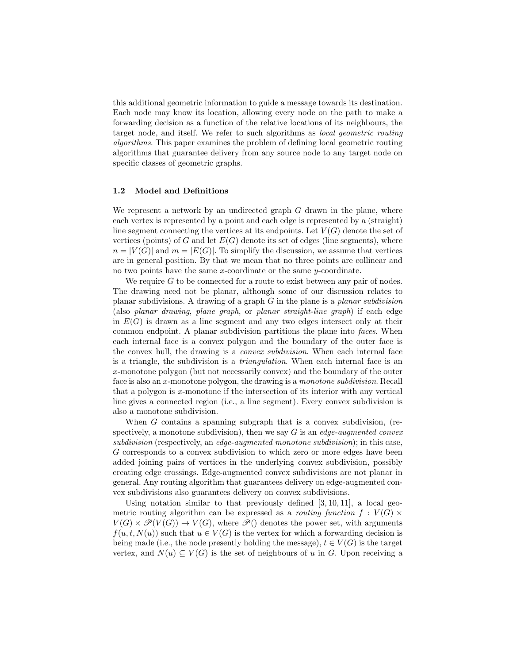this additional geometric information to guide a message towards its destination. Each node may know its location, allowing every node on the path to make a forwarding decision as a function of the relative locations of its neighbours, the target node, and itself. We refer to such algorithms as local geometric routing algorithms. This paper examines the problem of defining local geometric routing algorithms that guarantee delivery from any source node to any target node on specific classes of geometric graphs.

## 1.2 Model and Definitions

We represent a network by an undirected graph  $G$  drawn in the plane, where each vertex is represented by a point and each edge is represented by a (straight) line segment connecting the vertices at its endpoints. Let  $V(G)$  denote the set of vertices (points) of G and let  $E(G)$  denote its set of edges (line segments), where  $n = |V(G)|$  and  $m = |E(G)|$ . To simplify the discussion, we assume that vertices are in general position. By that we mean that no three points are collinear and no two points have the same  $x$ -coordinate or the same  $y$ -coordinate.

We require  $G$  to be connected for a route to exist between any pair of nodes. The drawing need not be planar, although some of our discussion relates to planar subdivisions. A drawing of a graph  $G$  in the plane is a *planar subdivision* (also planar drawing, plane graph, or planar straight-line graph) if each edge in  $E(G)$  is drawn as a line segment and any two edges intersect only at their common endpoint. A planar subdivision partitions the plane into faces. When each internal face is a convex polygon and the boundary of the outer face is the convex hull, the drawing is a convex subdivision. When each internal face is a triangle, the subdivision is a triangulation. When each internal face is an x-monotone polygon (but not necessarily convex) and the boundary of the outer face is also an x-monotone polygon, the drawing is a monotone subdivision. Recall that a polygon is x-monotone if the intersection of its interior with any vertical line gives a connected region (i.e., a line segment). Every convex subdivision is also a monotone subdivision.

When G contains a spanning subgraph that is a convex subdivision, (respectively, a monotone subdivision), then we say  $G$  is an *edge-augmented convex* subdivision (respectively, an *edge-augmented monotone subdivision*); in this case, G corresponds to a convex subdivision to which zero or more edges have been added joining pairs of vertices in the underlying convex subdivision, possibly creating edge crossings. Edge-augmented convex subdivisions are not planar in general. Any routing algorithm that guarantees delivery on edge-augmented convex subdivisions also guarantees delivery on convex subdivisions.

Using notation similar to that previously defined  $[3, 10, 11]$ , a local geometric routing algorithm can be expressed as a *routing function*  $f: V(G) \times$  $V(G) \times \mathcal{P}(V(G)) \to V(G)$ , where  $\mathcal{P}(\mathcal{O})$  denotes the power set, with arguments  $f(u, t, N(u))$  such that  $u \in V(G)$  is the vertex for which a forwarding decision is being made (i.e., the node presently holding the message),  $t \in V(G)$  is the target vertex, and  $N(u) \subseteq V(G)$  is the set of neighbours of u in G. Upon receiving a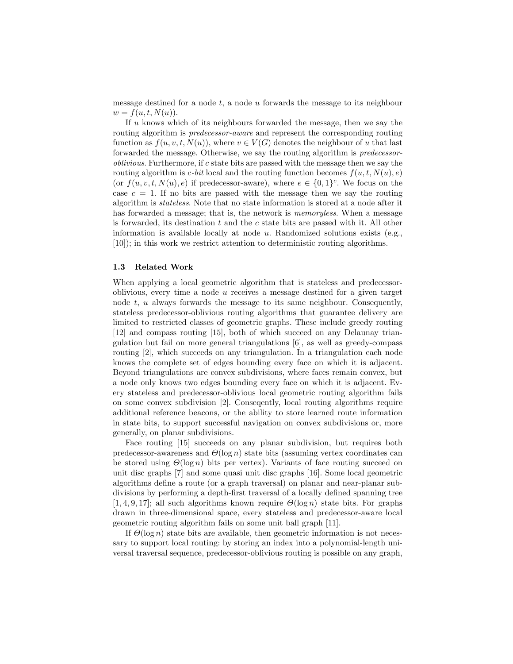message destined for a node  $t$ , a node  $u$  forwards the message to its neighbour  $w = f(u, t, N(u)).$ 

If u knows which of its neighbours forwarded the message, then we say the routing algorithm is *predecessor-aware* and represent the corresponding routing function as  $f(u, v, t, N(u))$ , where  $v \in V(G)$  denotes the neighbour of u that last forwarded the message. Otherwise, we say the routing algorithm is predecessoroblivious. Furthermore, if c state bits are passed with the message then we say the routing algorithm is c-bit local and the routing function becomes  $f(u, t, N(u), e)$ (or  $f(u, v, t, N(u), e)$  if predecessor-aware), where  $e \in \{0, 1\}^c$ . We focus on the case  $c = 1$ . If no bits are passed with the message then we say the routing algorithm is stateless. Note that no state information is stored at a node after it has forwarded a message; that is, the network is *memoryless*. When a message is forwarded, its destination  $t$  and the  $c$  state bits are passed with it. All other information is available locally at node  $u$ . Randomized solutions exists (e.g., [10]); in this work we restrict attention to deterministic routing algorithms.

## 1.3 Related Work

When applying a local geometric algorithm that is stateless and predecessoroblivious, every time a node u receives a message destined for a given target node  $t$ ,  $u$  always forwards the message to its same neighbour. Consequently, stateless predecessor-oblivious routing algorithms that guarantee delivery are limited to restricted classes of geometric graphs. These include greedy routing [12] and compass routing [15], both of which succeed on any Delaunay triangulation but fail on more general triangulations [6], as well as greedy-compass routing [2], which succeeds on any triangulation. In a triangulation each node knows the complete set of edges bounding every face on which it is adjacent. Beyond triangulations are convex subdivisions, where faces remain convex, but a node only knows two edges bounding every face on which it is adjacent. Every stateless and predecessor-oblivious local geometric routing algorithm fails on some convex subdivision [2]. Conseqently, local routing algorithms require additional reference beacons, or the ability to store learned route information in state bits, to support successful navigation on convex subdivisions or, more generally, on planar subdivisions.

Face routing [15] succeeds on any planar subdivision, but requires both predecessor-awareness and  $\Theta(\log n)$  state bits (assuming vertex coordinates can be stored using  $\Theta(\log n)$  bits per vertex). Variants of face routing succeed on unit disc graphs [7] and some quasi unit disc graphs [16]. Some local geometric algorithms define a route (or a graph traversal) on planar and near-planar subdivisions by performing a depth-first traversal of a locally defined spanning tree [1, 4, 9, 17]; all such algorithms known require  $\Theta(\log n)$  state bits. For graphs drawn in three-dimensional space, every stateless and predecessor-aware local geometric routing algorithm fails on some unit ball graph [11].

If  $\Theta(\log n)$  state bits are available, then geometric information is not necessary to support local routing: by storing an index into a polynomial-length universal traversal sequence, predecessor-oblivious routing is possible on any graph,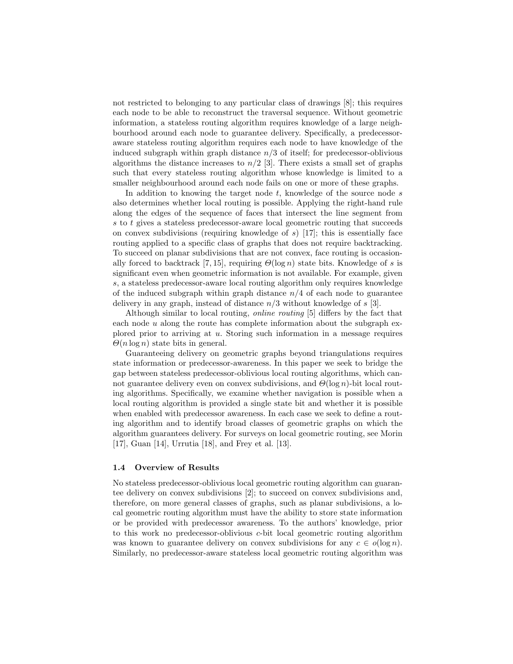not restricted to belonging to any particular class of drawings [8]; this requires each node to be able to reconstruct the traversal sequence. Without geometric information, a stateless routing algorithm requires knowledge of a large neighbourhood around each node to guarantee delivery. Specifically, a predecessoraware stateless routing algorithm requires each node to have knowledge of the induced subgraph within graph distance  $n/3$  of itself; for predecessor-oblivious algorithms the distance increases to  $n/2$  [3]. There exists a small set of graphs such that every stateless routing algorithm whose knowledge is limited to a smaller neighbourhood around each node fails on one or more of these graphs.

In addition to knowing the target node  $t$ , knowledge of the source node  $s$ also determines whether local routing is possible. Applying the right-hand rule along the edges of the sequence of faces that intersect the line segment from s to t gives a stateless predecessor-aware local geometric routing that succeeds on convex subdivisions (requiring knowledge of s)  $[17]$ ; this is essentially face routing applied to a specific class of graphs that does not require backtracking. To succeed on planar subdivisions that are not convex, face routing is occasionally forced to backtrack [7, 15], requiring  $\Theta(\log n)$  state bits. Knowledge of s is significant even when geometric information is not available. For example, given s, a stateless predecessor-aware local routing algorithm only requires knowledge of the induced subgraph within graph distance  $n/4$  of each node to guarantee delivery in any graph, instead of distance  $n/3$  without knowledge of s [3].

Although similar to local routing, online routing [5] differs by the fact that each node  $u$  along the route has complete information about the subgraph explored prior to arriving at u. Storing such information in a message requires  $\Theta(n \log n)$  state bits in general.

Guaranteeing delivery on geometric graphs beyond triangulations requires state information or predecessor-awareness. In this paper we seek to bridge the gap between stateless predecessor-oblivious local routing algorithms, which cannot guarantee delivery even on convex subdivisions, and  $\Theta(\log n)$ -bit local routing algorithms. Specifically, we examine whether navigation is possible when a local routing algorithm is provided a single state bit and whether it is possible when enabled with predecessor awareness. In each case we seek to define a routing algorithm and to identify broad classes of geometric graphs on which the algorithm guarantees delivery. For surveys on local geometric routing, see Morin [17], Guan [14], Urrutia [18], and Frey et al. [13].

#### 1.4 Overview of Results

No stateless predecessor-oblivious local geometric routing algorithm can guarantee delivery on convex subdivisions [2]; to succeed on convex subdivisions and, therefore, on more general classes of graphs, such as planar subdivisions, a local geometric routing algorithm must have the ability to store state information or be provided with predecessor awareness. To the authors' knowledge, prior to this work no predecessor-oblivious c-bit local geometric routing algorithm was known to guarantee delivery on convex subdivisions for any  $c \in o(\log n)$ . Similarly, no predecessor-aware stateless local geometric routing algorithm was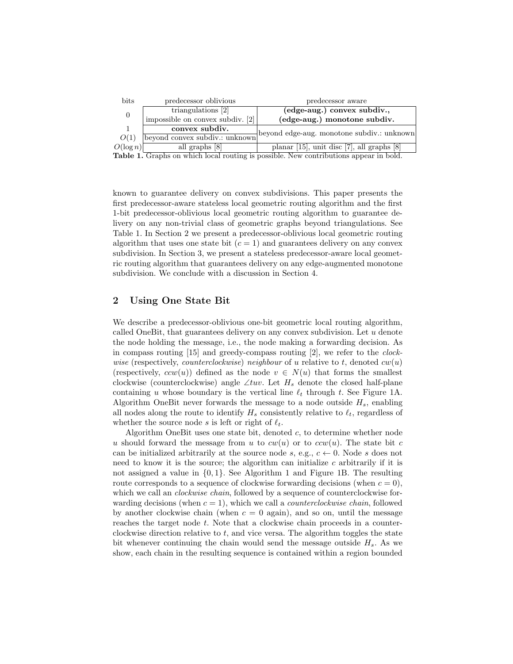| bits                                                                                         | predecessor oblivious            | predecessor aware                            |
|----------------------------------------------------------------------------------------------|----------------------------------|----------------------------------------------|
| $\overline{0}$                                                                               | triangulations [2]               | (edge-aug.) convex subdiv.,                  |
|                                                                                              | impossible on convex subdiv. [2] | (edge-aug.) monotone subdiv.                 |
|                                                                                              | convex subdiv.                   | beyond edge-aug. monotone subdiv.: unknown   |
| O(1)                                                                                         | beyond convex subdiv.: unknown   |                                              |
| $O(\log n)$                                                                                  | all graphs [8]                   | planar [15], unit disc [7], all graphs $[8]$ |
| <b>Table 1.</b> Graphs on which local routing is possible. New contributions appear in bold. |                                  |                                              |

known to guarantee delivery on convex subdivisions. This paper presents the first predecessor-aware stateless local geometric routing algorithm and the first 1-bit predecessor-oblivious local geometric routing algorithm to guarantee delivery on any non-trivial class of geometric graphs beyond triangulations. See Table 1. In Section 2 we present a predecessor-oblivious local geometric routing algorithm that uses one state bit  $(c = 1)$  and guarantees delivery on any convex subdivision. In Section 3, we present a stateless predecessor-aware local geometric routing algorithm that guarantees delivery on any edge-augmented monotone subdivision. We conclude with a discussion in Section 4.

# 2 Using One State Bit

We describe a predecessor-oblivious one-bit geometric local routing algorithm, called OneBit, that guarantees delivery on any convex subdivision. Let  $u$  denote the node holding the message, i.e., the node making a forwarding decision. As in compass routing [15] and greedy-compass routing [2], we refer to the clockwise (respectively, counterclockwise) neighbour of u relative to t, denoted  $cw(u)$ (respectively,  $ccw(u)$ ) defined as the node  $v \in N(u)$  that forms the smallest clockwise (counterclockwise) angle ∠tuv. Let  $H_s$  denote the closed half-plane containing u whose boundary is the vertical line  $\ell_t$  through t. See Figure 1A. Algorithm OneBit never forwards the message to a node outside  $H_s$ , enabling all nodes along the route to identify  $H_s$  consistently relative to  $\ell_t$ , regardless of whether the source node s is left or right of  $\ell_t$ .

Algorithm OneBit uses one state bit, denoted  $c$ , to determine whether node u should forward the message from u to  $cw(u)$  or to  $ccw(u)$ . The state bit c can be initialized arbitrarily at the source node s, e.g.,  $c \leftarrow 0$ . Node s does not need to know it is the source; the algorithm can initialize c arbitrarily if it is not assigned a value in  $\{0, 1\}$ . See Algorithm 1 and Figure 1B. The resulting route corresponds to a sequence of clockwise forwarding decisions (when  $c = 0$ ), which we call an *clockwise chain*, followed by a sequence of counterclockwise forwarding decisions (when  $c = 1$ ), which we call a *counterclockwise chain*, followed by another clockwise chain (when  $c = 0$  again), and so on, until the message reaches the target node  $t$ . Note that a clockwise chain proceeds in a counterclockwise direction relative to t, and vice versa. The algorithm toggles the state bit whenever continuing the chain would send the message outside  $H_s$ . As we show, each chain in the resulting sequence is contained within a region bounded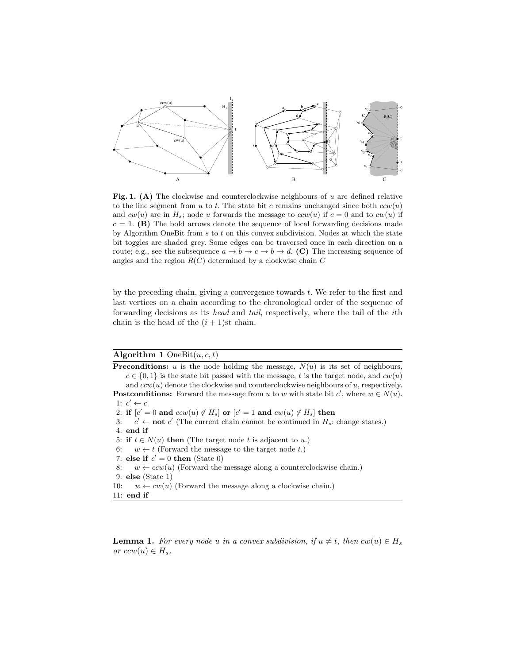

Fig. 1. (A) The clockwise and counterclockwise neighbours of  $u$  are defined relative to the line segment from u to t. The state bit c remains unchanged since both  $ccw(u)$ and  $cw(u)$  are in  $H_s$ ; node u forwards the message to  $ccw(u)$  if  $c = 0$  and to  $cw(u)$  if  $c = 1$ . (B) The bold arrows denote the sequence of local forwarding decisions made by Algorithm OneBit from  $s$  to  $t$  on this convex subdivision. Nodes at which the state bit toggles are shaded grey. Some edges can be traversed once in each direction on a route; e.g., see the subsequence  $a \to b \to c \to b \to d$ . (C) The increasing sequence of angles and the region  $R(C)$  determined by a clockwise chain  $C$ 

by the preceding chain, giving a convergence towards  $t$ . We refer to the first and last vertices on a chain according to the chronological order of the sequence of forwarding decisions as its head and tail, respectively, where the tail of the ith chain is the head of the  $(i + 1)$ st chain.

## Algorithm 1 OneBit $(u, c, t)$

**Preconditions:** u is the node holding the message,  $N(u)$  is its set of neighbours,  $c \in \{0,1\}$  is the state bit passed with the message, t is the target node, and  $cw(u)$ and  $ccw(u)$  denote the clockwise and counterclockwise neighbours of u, respectively. **Postconditions:** Forward the message from u to w with state bit  $c'$ , where  $w \in N(u)$ . 1:  $c' \leftarrow c$ 2: if  $[c' = 0$  and  $ccw(u) \notin H_s]$  or  $[c' = 1$  and  $cw(u) \notin H_s]$  then  $3:$  $\ell \leftarrow \textbf{not } c'$  (The current chain cannot be continued in  $H_s$ : change states.) 4: end if 5: if  $t \in N(u)$  then (The target node t is adjacent to u.) 6:  $w \leftarrow t$  (Forward the message to the target node t.) 7: else if  $c' = 0$  then (State 0) 8:  $w \leftarrow ccw(u)$  (Forward the message along a counterclockwise chain.) 9: else (State 1) 10:  $w \leftarrow cw(u)$  (Forward the message along a clockwise chain.) 11: end if

**Lemma 1.** For every node u in a convex subdivision, if  $u \neq t$ , then  $cw(u) \in H_s$ or  $ccw(u) \in H_s$ .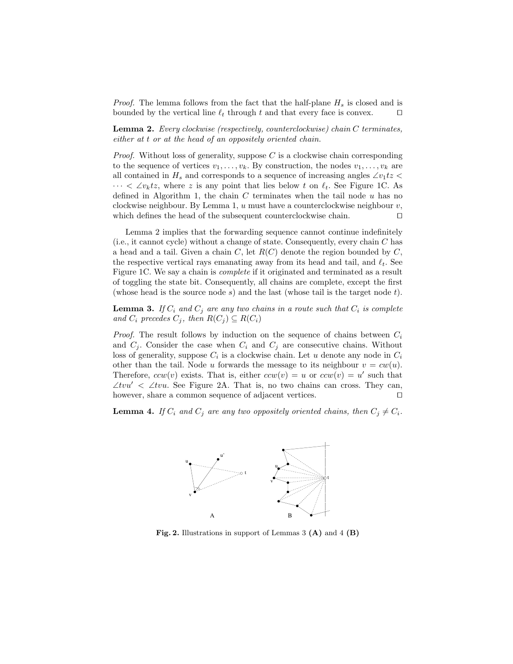*Proof.* The lemma follows from the fact that the half-plane  $H_s$  is closed and is bounded by the vertical line  $\ell_t$  through t and that every face is convex.  $\Box$ 

**Lemma 2.** Every clockwise (respectively, counterclockwise) chain C terminates, either at t or at the head of an oppositely oriented chain.

*Proof.* Without loss of generality, suppose  $C$  is a clockwise chain corresponding to the sequence of vertices  $v_1, \ldots, v_k$ . By construction, the nodes  $v_1, \ldots, v_k$  are all contained in  $H_s$  and corresponds to a sequence of increasing angles  $\angle v_1 t z$  $\cdots < \angle v_k t z$ , where z is any point that lies below t on  $\ell_t$ . See Figure 1C. As defined in Algorithm 1, the chain  $C$  terminates when the tail node  $u$  has no clockwise neighbour. By Lemma 1, u must have a counterclockwise neighbour  $v$ , which defines the head of the subsequent counterclockwise chain.  $\Box$ 

Lemma 2 implies that the forwarding sequence cannot continue indefinitely (i.e., it cannot cycle) without a change of state. Consequently, every chain C has a head and a tail. Given a chain C, let  $R(C)$  denote the region bounded by C, the respective vertical rays emanating away from its head and tail, and  $\ell_t$ . See Figure 1C. We say a chain is complete if it originated and terminated as a result of toggling the state bit. Consequently, all chains are complete, except the first (whose head is the source node s) and the last (whose tail is the target node t).

**Lemma 3.** If  $C_i$  and  $C_j$  are any two chains in a route such that  $C_i$  is complete and  $C_i$  precedes  $C_j$ , then  $R(C_j) \subseteq R(C_i)$ 

*Proof.* The result follows by induction on the sequence of chains between  $C_i$ and  $C_j$ . Consider the case when  $C_i$  and  $C_j$  are consecutive chains. Without loss of generality, suppose  $C_i$  is a clockwise chain. Let u denote any node in  $C_i$ other than the tail. Node u forwards the message to its neighbour  $v = cw(u)$ . Therefore,  $ccw(v)$  exists. That is, either  $ccw(v) = u$  or  $ccw(v) = u'$  such that  $\angle tvu' < \angle tvu$ . See Figure 2A. That is, no two chains can cross. They can, however, share a common sequence of adjacent vertices.  $\Box$ 

**Lemma 4.** If  $C_i$  and  $C_j$  are any two oppositely oriented chains, then  $C_j \neq C_i$ .



Fig. 2. Illustrations in support of Lemmas 3 (A) and 4 (B)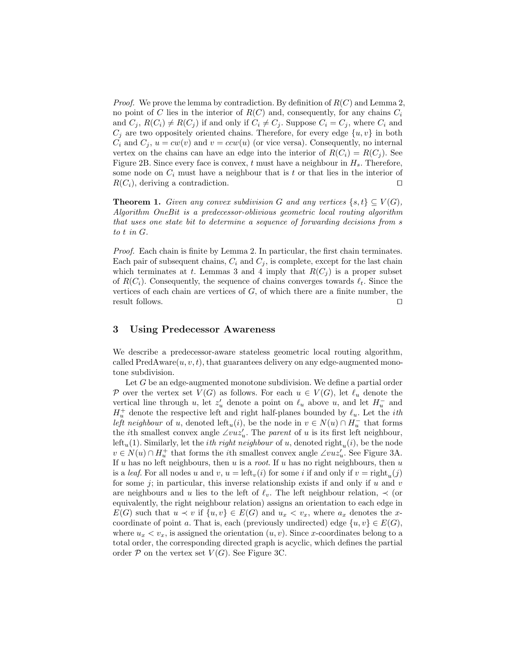*Proof.* We prove the lemma by contradiction. By definition of  $R(C)$  and Lemma 2, no point of C lies in the interior of  $R(C)$  and, consequently, for any chains  $C_i$ and  $C_j$ ,  $R(C_i) \neq R(C_j)$  if and only if  $C_i \neq C_j$ . Suppose  $C_i = C_j$ , where  $C_i$  and  $C_j$  are two oppositely oriented chains. Therefore, for every edge  $\{u, v\}$  in both  $C_i$  and  $C_j$ ,  $u = cw(v)$  and  $v = ccw(u)$  (or vice versa). Consequently, no internal vertex on the chains can have an edge into the interior of  $R(C_i) = R(C_i)$ . See Figure 2B. Since every face is convex,  $t$  must have a neighbour in  $H_s$ . Therefore, some node on  $C_i$  must have a neighbour that is t or that lies in the interior of  $R(C_i)$ , deriving a contradiction.

**Theorem 1.** Given any convex subdivision G and any vertices  $\{s, t\} \subseteq V(G)$ , Algorithm OneBit is a predecessor-oblivious geometric local routing algorithm that uses one state bit to determine a sequence of forwarding decisions from s to t in G.

Proof. Each chain is finite by Lemma 2. In particular, the first chain terminates. Each pair of subsequent chains,  $C_i$  and  $C_j$ , is complete, except for the last chain which terminates at t. Lemmas 3 and 4 imply that  $R(C_i)$  is a proper subset of  $R(C_i)$ . Consequently, the sequence of chains converges towards  $\ell_t$ . Since the vertices of each chain are vertices of  $G$ , of which there are a finite number, the result follows.  $\hfill \square$ 

# 3 Using Predecessor Awareness

We describe a predecessor-aware stateless geometric local routing algorithm, called  $PredAware(u, v, t)$ , that guarantees delivery on any edge-augmented monotone subdivision.

Let  $G$  be an edge-augmented monotone subdivision. We define a partial order P over the vertex set  $V(G)$  as follows. For each  $u \in V(G)$ , let  $\ell_u$  denote the vertical line through u, let  $z'_u$  denote a point on  $\ell_u$  above u, and let  $H_u^-$  and  $H_u^+$  denote the respective left and right half-planes bounded by  $\ell_u$ . Let the *ith* left neighbour of u, denoted left<sub>u</sub>(i), be the node in  $v \in N(u) \cap H_u^-$  that forms the *i*th smallest convex angle  $\angle vuz'_u$ . The *parent* of u is its first left neighbour,  $\mathrm{left}_{u}(1)$ . Similarly, let the *ith right neighbour* of u, denoted right<sub>u</sub> $(i)$ , be the node  $v \in N(u) \cap H_u^+$  that forms the *i*th smallest convex angle ∠vuz'<sub>u</sub>. See Figure 3A. If u has no left neighbours, then u is a root. If u has no right neighbours, then  $u$ is a *leaf*. For all nodes u and v,  $u = \text{left}_v(i)$  for some i if and only if  $v = \text{right}_u(j)$ for some  $j$ ; in particular, this inverse relationship exists if and only if  $u$  and  $v$ are neighbours and u lies to the left of  $\ell_v$ . The left neighbour relation,  $\prec$  (or equivalently, the right neighbour relation) assigns an orientation to each edge in  $E(G)$  such that  $u \prec v$  if  $\{u, v\} \in E(G)$  and  $u_x \prec v_x$ , where  $a_x$  denotes the xcoordinate of point a. That is, each (previously undirected) edge  $\{u, v\} \in E(G)$ , where  $u_x < v_x$ , is assigned the orientation  $(u, v)$ . Since x-coordinates belong to a total order, the corresponding directed graph is acyclic, which defines the partial order  $P$  on the vertex set  $V(G)$ . See Figure 3C.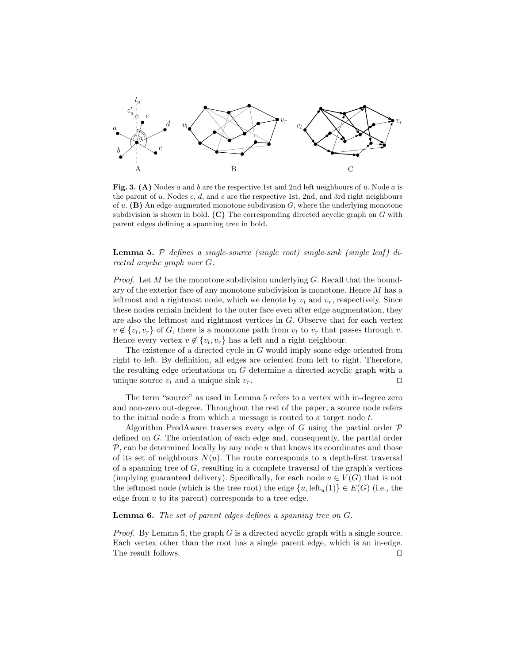

Fig. 3. (A) Nodes a and b are the respective 1st and 2nd left neighbours of u. Node a is the parent of u. Nodes c, d, and e are the respective 1st, 2nd, and 3rd right neighbours of u.  $(B)$  An edge-augmented monotone subdivision G, where the underlying monotone subdivision is shown in bold.  $(C)$  The corresponding directed acyclic graph on G with parent edges defining a spanning tree in bold.

**Lemma 5.** P defines a single-source (single root) single-sink (single leaf) directed acyclic graph over G.

*Proof.* Let M be the monotone subdivision underlying G. Recall that the boundary of the exterior face of any monotone subdivision is monotone. Hence M has a leftmost and a rightmost node, which we denote by  $v_l$  and  $v_r$ , respectively. Since these nodes remain incident to the outer face even after edge augmentation, they are also the leftmost and rightmost vertices in G. Observe that for each vertex  $v \notin \{v_l, v_r\}$  of G, there is a monotone path from  $v_l$  to  $v_r$  that passes through  $v$ . Hence every vertex  $v \notin \{v_l, v_r\}$  has a left and a right neighbour.

The existence of a directed cycle in G would imply some edge oriented from right to left. By definition, all edges are oriented from left to right. Therefore, the resulting edge orientations on G determine a directed acyclic graph with a unique source  $v_l$  and a unique sink  $v_r$ .

The term "source" as used in Lemma 5 refers to a vertex with in-degree zero and non-zero out-degree. Throughout the rest of the paper, a source node refers to the initial node s from which a message is routed to a target node t.

Algorithm PredAware traverses every edge of  $G$  using the partial order  $P$ defined on G. The orientation of each edge and, consequently, the partial order  $P$ , can be determined locally by any node u that knows its coordinates and those of its set of neighbours  $N(u)$ . The route corresponds to a depth-first traversal of a spanning tree of  $G$ , resulting in a complete traversal of the graph's vertices (implying guaranteed delivery). Specifically, for each node  $u \in V(G)$  that is not the leftmost node (which is the tree root) the edge  $\{u, \text{left}_u(1)\} \in E(G)$  (i.e., the edge from  $u$  to its parent) corresponds to a tree edge.

## Lemma 6. The set of parent edges defines a spanning tree on G.

*Proof.* By Lemma 5, the graph  $G$  is a directed acyclic graph with a single source. Each vertex other than the root has a single parent edge, which is an in-edge. The result follows.  $\Box$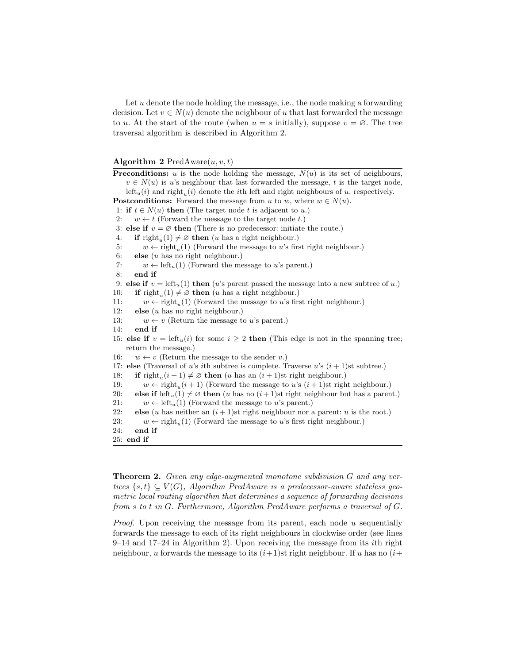Let  $u$  denote the node holding the message, i.e., the node making a forwarding decision. Let  $v \in N(u)$  denote the neighbour of u that last forwarded the message to u. At the start of the route (when  $u = s$  initially), suppose  $v = \emptyset$ . The tree traversal algorithm is described in Algorithm 2.

## Algorithm 2 PredAware $(u, v, t)$

```
Preconditions: u is the node holding the message, N(u) is its set of neighbours,
    v \in N(u) is u's neighbour that last forwarded the message, t is the target node,
    \mathrm{left}_{u}(i) and right_{u}(i) denote the ith left and right neighbours of u, respectively.
Postconditions: Forward the message from u to w, where w \in N(u).
 1: if t \in N(u) then (The target node t is adjacent to u.)
 2: w \leftarrow t (Forward the message to the target node t.)
 3: else if v = \emptyset then (There is no predecessor: initiate the route.)
 4: if \text{right}_{u}(1) \neq \emptyset then (u \text{ has a right neighbour.})5: w \leftarrow \text{right}_{u}(1) (Forward the message to u's first right neighbour.)
 6: else (u has no right neighbour.)
 7: w \leftarrow \text{left}_{u}(1) (Forward the message to u's parent.)
 8: end if
9: else if v = \text{left}_u(1) then (u)'s parent passed the message into a new subtree of u.)
10: if \text{right}_{u}(1) \neq \emptyset then (u has a right neighbour.)
11: w \leftarrow \text{right}_u(1) (Forward the message to u's first right neighbour.)
12: else (u has no right neighbour.)
13: w \leftarrow v (Return the message to u's parent.)
14: end if
15: else if v = \text{left}_{u}(i) for some i \geq 2 then (This edge is not in the spanning tree;
    return the message.)
16: w \leftarrow v (Return the message to the sender v.)
17: else (Traversal of u's ith subtree is complete. Traverse u's (i + 1)st subtree.)
18: if \text{right}_{u}(i+1) \neq \emptyset then (u \text{ has an } (i+1)st right neighbour.)
19: w \leftarrow \text{right}_u(i+1) (Forward the message to u's (i+1)st right neighbour.)
20: else if \text{left}_{u}(1) \neq \emptyset then (u has no (i+1)st right neighbour but has a parent.)
21: w \leftarrow \text{left}_u(1) (Forward the message to u's parent.)
22: else (u has neither an (i + 1)st right neighbour nor a parent: u is the root.)
23: w \leftarrow \text{right}_u(1) (Forward the message to u's first right neighbour.)
24: end if
25: end if
```
Theorem 2. Given any edge-augmented monotone subdivision G and any vertices  $\{s, t\} \subseteq V(G)$ , Algorithm PredAware is a predecessor-aware stateless geometric local routing algorithm that determines a sequence of forwarding decisions from s to t in G. Furthermore, Algorithm PredAware performs a traversal of G.

*Proof.* Upon receiving the message from its parent, each node  $u$  sequentially forwards the message to each of its right neighbours in clockwise order (see lines 9–14 and 17–24 in Algorithm 2). Upon receiving the message from its ith right neighbour, u forwards the message to its  $(i+1)$ st right neighbour. If u has no  $(i+1)$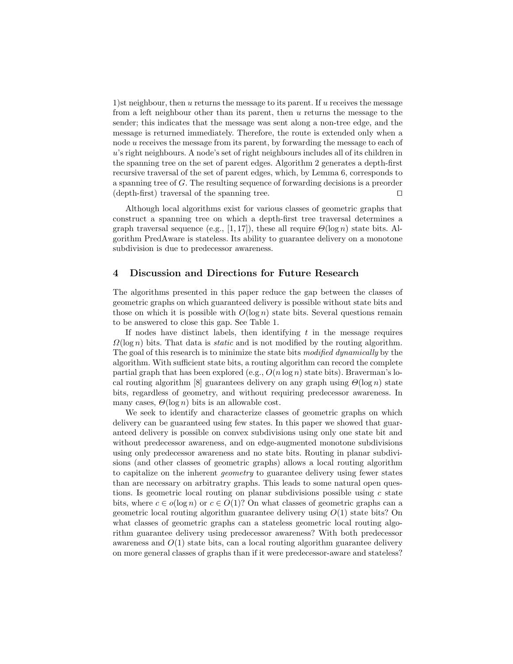1)st neighbour, then  $u$  returns the message to its parent. If  $u$  receives the message from a left neighbour other than its parent, then  $u$  returns the message to the sender; this indicates that the message was sent along a non-tree edge, and the message is returned immediately. Therefore, the route is extended only when a node u receives the message from its parent, by forwarding the message to each of u's right neighbours. A node's set of right neighbours includes all of its children in the spanning tree on the set of parent edges. Algorithm 2 generates a depth-first recursive traversal of the set of parent edges, which, by Lemma 6, corresponds to a spanning tree of G. The resulting sequence of forwarding decisions is a preorder  $(\text{depth-first})$  traversal of the spanning tree.  $\square$ 

Although local algorithms exist for various classes of geometric graphs that construct a spanning tree on which a depth-first tree traversal determines a graph traversal sequence (e.g., [1, 17]), these all require  $\Theta(\log n)$  state bits. Algorithm PredAware is stateless. Its ability to guarantee delivery on a monotone subdivision is due to predecessor awareness.

# 4 Discussion and Directions for Future Research

The algorithms presented in this paper reduce the gap between the classes of geometric graphs on which guaranteed delivery is possible without state bits and those on which it is possible with  $O(\log n)$  state bits. Several questions remain to be answered to close this gap. See Table 1.

If nodes have distinct labels, then identifying  $t$  in the message requires  $\Omega(\log n)$  bits. That data is *static* and is not modified by the routing algorithm. The goal of this research is to minimize the state bits modified dynamically by the algorithm. With sufficient state bits, a routing algorithm can record the complete partial graph that has been explored (e.g.,  $O(n \log n)$  state bits). Braverman's local routing algorithm [8] guarantees delivery on any graph using  $\Theta(\log n)$  state bits, regardless of geometry, and without requiring predecessor awareness. In many cases,  $\Theta(\log n)$  bits is an allowable cost.

We seek to identify and characterize classes of geometric graphs on which delivery can be guaranteed using few states. In this paper we showed that guaranteed delivery is possible on convex subdivisions using only one state bit and without predecessor awareness, and on edge-augmented monotone subdivisions using only predecessor awareness and no state bits. Routing in planar subdivisions (and other classes of geometric graphs) allows a local routing algorithm to capitalize on the inherent geometry to guarantee delivery using fewer states than are necessary on arbitratry graphs. This leads to some natural open questions. Is geometric local routing on planar subdivisions possible using  $c$  state bits, where  $c \in o(\log n)$  or  $c \in O(1)$ ? On what classes of geometric graphs can a geometric local routing algorithm guarantee delivery using  $O(1)$  state bits? On what classes of geometric graphs can a stateless geometric local routing algorithm guarantee delivery using predecessor awareness? With both predecessor awareness and  $O(1)$  state bits, can a local routing algorithm guarantee delivery on more general classes of graphs than if it were predecessor-aware and stateless?